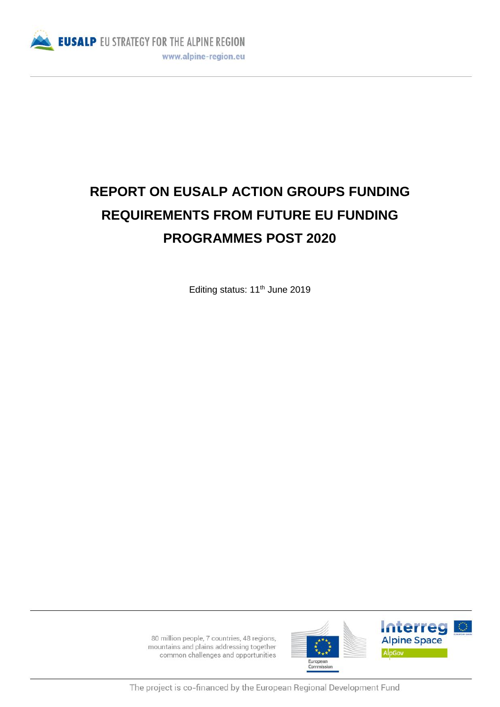

# **REPORT ON EUSALP ACTION GROUPS FUNDING REQUIREMENTS FROM FUTURE EU FUNDING PROGRAMMES POST 2020**

Editing status: 11<sup>th</sup> June 2019

80 million people, 7 countries, 48 regions, mountains and plains addressing together common challenges and opportunities





The project is co-financed by the European Regional Development Fund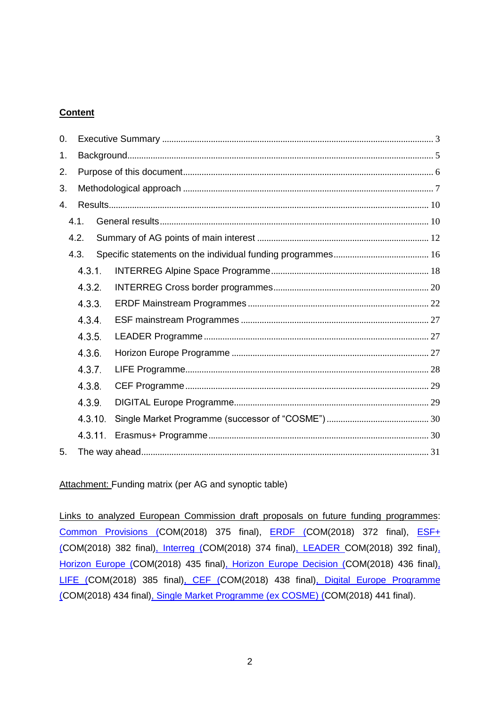## **Content**

| 0.               |         |  |  |  |  |
|------------------|---------|--|--|--|--|
| 1.               |         |  |  |  |  |
| 2.               |         |  |  |  |  |
| 3.               |         |  |  |  |  |
| 4.               |         |  |  |  |  |
|                  | 4.1.    |  |  |  |  |
|                  | 4.2.    |  |  |  |  |
|                  | 4.3.    |  |  |  |  |
|                  | 4.3.1.  |  |  |  |  |
|                  | 4.3.2.  |  |  |  |  |
|                  | 4.3.3.  |  |  |  |  |
|                  | 4.3.4.  |  |  |  |  |
|                  | 4.3.5.  |  |  |  |  |
|                  | 4.3.6.  |  |  |  |  |
| 4.3.7.<br>4.3.8. |         |  |  |  |  |
|                  |         |  |  |  |  |
|                  | 4.3.9.  |  |  |  |  |
|                  | 4.3.10. |  |  |  |  |
|                  | 4.3.11. |  |  |  |  |
| 5.               |         |  |  |  |  |

Attachment: Funding matrix (per AG and synoptic table)

Links to analyzed European Commission draft proposals on future funding programmes: [Common Provisions](https://eur-lex.europa.eu/resource.html?uri=cellar:26b02a36-6376-11e8-ab9c-01aa75ed71a1.0003.02/DOC_1&format=PDF) (COM(2018) 375 final), **[ERDF](https://eur-lex.europa.eu/resource.html?uri=cellar:8d2f7140-6375-11e8-ab9c-01aa75ed71a1.0001.02/DOC_1&format=PDF) (COM(2018) 372 final)**, **ESF**+ (COM(2018) 382 final), [Interreg](https://eur-lex.europa.eu/resource.html?uri=cellar:a1aefb38-6376-11e8-ab9c-01aa75ed71a1.0001.02/DOC_1&format=PDF) (COM(2018) 374 final), [LEADER](https://eur-lex.europa.eu/resource.html?uri=cellar:aa85fa9a-65a0-11e8-ab9c-01aa75ed71a1.0003.02/DOC_1&format=PDF) COM(2018) 392 final), [Horizon Europe](https://eur-lex.europa.eu/resource.html?uri=cellar:b8518ec6-6a2f-11e8-9483-01aa75ed71a1.0001.03/DOC_1&format=PDF) (COM(2018) 435 final), [Horizon Europe Decision](https://eur-lex.europa.eu/resource.html?uri=cellar:7cc790e8-6a33-11e8-9483-01aa75ed71a1.0002.03/DOC_1&format=PDF) (COM(2018) 436 final), [LIFE](https://eur-lex.europa.eu/resource.html?uri=cellar:ad186f8e-6587-11e8-ab9c-01aa75ed71a1.0001.02/DOC_1&format=PDF) (COM(2018) 385 final), [CEF](https://eur-lex.europa.eu/resource.html?uri=cellar:da5da09e-6a5a-11e8-9483-01aa75ed71a1.0003.03/DOC_1&format=PDF) (COM(2018) 438 final), [Digital Europe Programme](https://eur-lex.europa.eu/resource.html?uri=cellar:321918fd-6af4-11e8-9483-01aa75ed71a1.0003.03/DOC_1&format=PDF) (COM(2018) 434 final), [Single Market Programme \(ex COSME\)](https://eur-lex.europa.eu/resource.html?uri=cellar:8a43c8d3-6a31-11e8-9483-01aa75ed71a1.0002.03/DOC_1&format=PDF) (COM(2018) 441 final).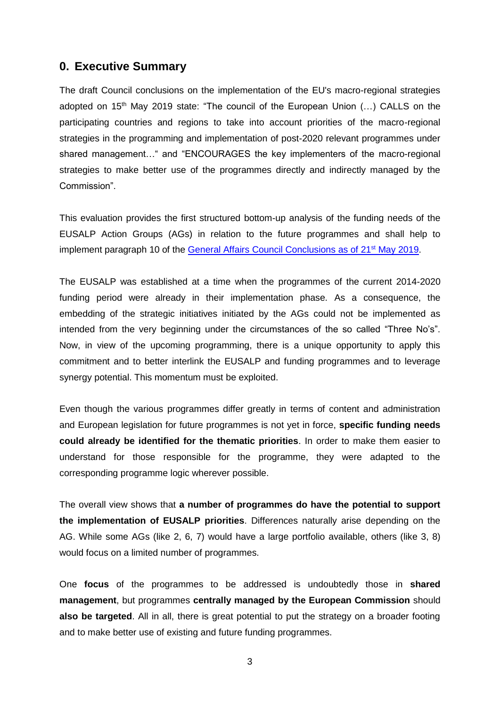## <span id="page-2-0"></span>**0. Executive Summary**

The draft Council conclusions on the implementation of the EU's macro-regional strategies adopted on  $15<sup>th</sup>$  May 2019 state: "The council of the European Union  $(...)$  CALLS on the participating countries and regions to take into account priorities of the macro-regional strategies in the programming and implementation of post-2020 relevant programmes under shared management…" and "ENCOURAGES the key implementers of the macro-regional strategies to make better use of the programmes directly and indirectly managed by the Commission".

This evaluation provides the first structured bottom-up analysis of the funding needs of the EUSALP Action Groups (AGs) in relation to the future programmes and shall help to implement paragraph 10 of the [General Affairs Council Conclusions as of 21](https://www.consilium.europa.eu/media/39450/st09565-en19.pdf)<sup>st</sup> May 2019.

The EUSALP was established at a time when the programmes of the current 2014-2020 funding period were already in their implementation phase. As a consequence, the embedding of the strategic initiatives initiated by the AGs could not be implemented as intended from the very beginning under the circumstances of the so called "Three No's". Now, in view of the upcoming programming, there is a unique opportunity to apply this commitment and to better interlink the EUSALP and funding programmes and to leverage synergy potential. This momentum must be exploited.

Even though the various programmes differ greatly in terms of content and administration and European legislation for future programmes is not yet in force, **specific funding needs could already be identified for the thematic priorities**. In order to make them easier to understand for those responsible for the programme, they were adapted to the corresponding programme logic wherever possible.

The overall view shows that **a number of programmes do have the potential to support the implementation of EUSALP priorities**. Differences naturally arise depending on the AG. While some AGs (like 2, 6, 7) would have a large portfolio available, others (like 3, 8) would focus on a limited number of programmes.

One **focus** of the programmes to be addressed is undoubtedly those in **shared management**, but programmes **centrally managed by the European Commission** should **also be targeted**. All in all, there is great potential to put the strategy on a broader footing and to make better use of existing and future funding programmes.

3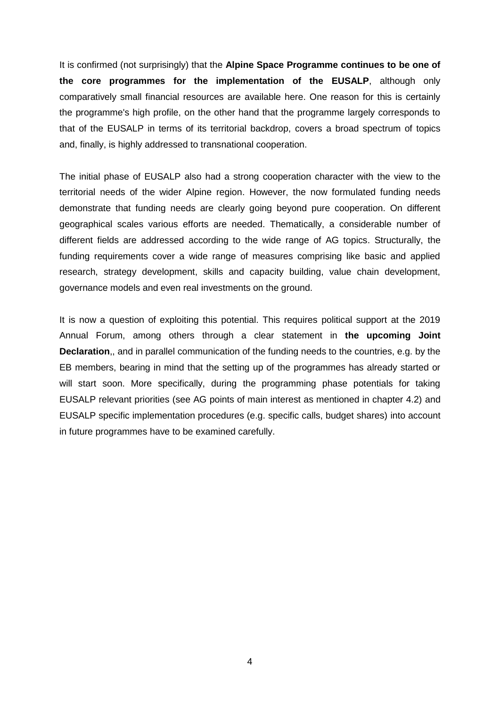It is confirmed (not surprisingly) that the **Alpine Space Programme continues to be one of the core programmes for the implementation of the EUSALP**, although only comparatively small financial resources are available here. One reason for this is certainly the programme's high profile, on the other hand that the programme largely corresponds to that of the EUSALP in terms of its territorial backdrop, covers a broad spectrum of topics and, finally, is highly addressed to transnational cooperation.

The initial phase of EUSALP also had a strong cooperation character with the view to the territorial needs of the wider Alpine region. However, the now formulated funding needs demonstrate that funding needs are clearly going beyond pure cooperation. On different geographical scales various efforts are needed. Thematically, a considerable number of different fields are addressed according to the wide range of AG topics. Structurally, the funding requirements cover a wide range of measures comprising like basic and applied research, strategy development, skills and capacity building, value chain development, governance models and even real investments on the ground.

It is now a question of exploiting this potential. This requires political support at the 2019 Annual Forum, among others through a clear statement in **the upcoming Joint Declaration**,, and in parallel communication of the funding needs to the countries, e.g. by the EB members, bearing in mind that the setting up of the programmes has already started or will start soon. More specifically, during the programming phase potentials for taking EUSALP relevant priorities (see AG points of main interest as mentioned in chapter 4.2) and EUSALP specific implementation procedures (e.g. specific calls, budget shares) into account in future programmes have to be examined carefully.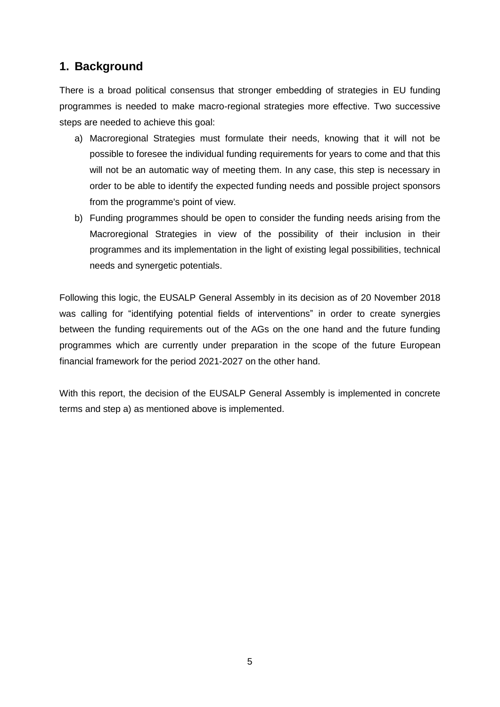# <span id="page-4-0"></span>**1. Background**

There is a broad political consensus that stronger embedding of strategies in EU funding programmes is needed to make macro-regional strategies more effective. Two successive steps are needed to achieve this goal:

- a) Macroregional Strategies must formulate their needs, knowing that it will not be possible to foresee the individual funding requirements for years to come and that this will not be an automatic way of meeting them. In any case, this step is necessary in order to be able to identify the expected funding needs and possible project sponsors from the programme's point of view.
- b) Funding programmes should be open to consider the funding needs arising from the Macroregional Strategies in view of the possibility of their inclusion in their programmes and its implementation in the light of existing legal possibilities, technical needs and synergetic potentials.

Following this logic, the EUSALP General Assembly in its decision as of 20 November 2018 was calling for "identifying potential fields of interventions" in order to create synergies between the funding requirements out of the AGs on the one hand and the future funding programmes which are currently under preparation in the scope of the future European financial framework for the period 2021-2027 on the other hand.

With this report, the decision of the EUSALP General Assembly is implemented in concrete terms and step a) as mentioned above is implemented.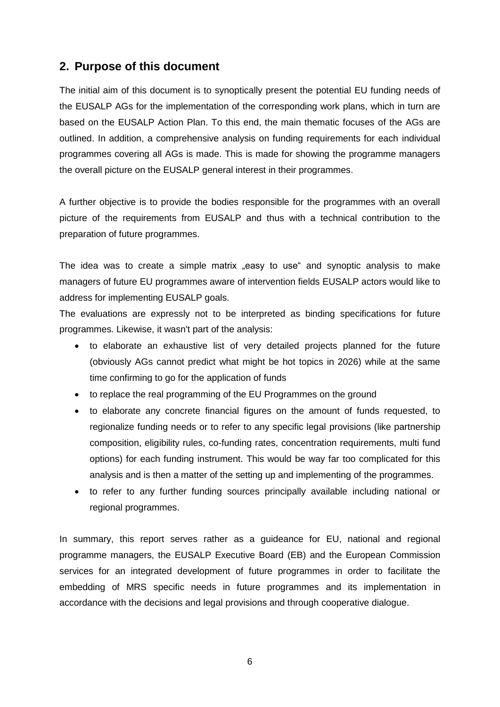# <span id="page-5-0"></span>**2. Purpose of this document**

The initial aim of this document is to synoptically present the potential EU funding needs of the EUSALP AGs for the implementation of the corresponding work plans, which in turn are based on the EUSALP Action Plan. To this end, the main thematic focuses of the AGs are outlined. In addition, a comprehensive analysis on funding requirements for each individual programmes covering all AGs is made. This is made for showing the programme managers the overall picture on the EUSALP general interest in their programmes.

A further objective is to provide the bodies responsible for the programmes with an overall picture of the requirements from EUSALP and thus with a technical contribution to the preparation of future programmes.

The idea was to create a simple matrix easy to use and synoptic analysis to make managers of future EU programmes aware of intervention fields EUSALP actors would like to address for implementing EUSALP goals.

The evaluations are expressly not to be interpreted as binding specifications for future programmes. Likewise, it wasn't part of the analysis:

- to elaborate an exhaustive list of very detailed projects planned for the future (obviously AGs cannot predict what might be hot topics in 2026) while at the same time confirming to go for the application of funds
- to replace the real programming of the EU Programmes on the ground
- to elaborate any concrete financial figures on the amount of funds requested, to regionalize funding needs or to refer to any specific legal provisions (like partnership composition, eligibility rules, co-funding rates, concentration requirements, multi fund options) for each funding instrument. This would be way far too complicated for this analysis and is then a matter of the setting up and implementing of the programmes.
- to refer to any further funding sources principally available including national or regional programmes.

In summary, this report serves rather as a guideance for EU, national and regional programme managers, the EUSALP Executive Board (EB) and the European Commission services for an integrated development of future programmes in order to facilitate the embedding of MRS specific needs in future programmes and its implementation in accordance with the decisions and legal provisions and through cooperative dialogue.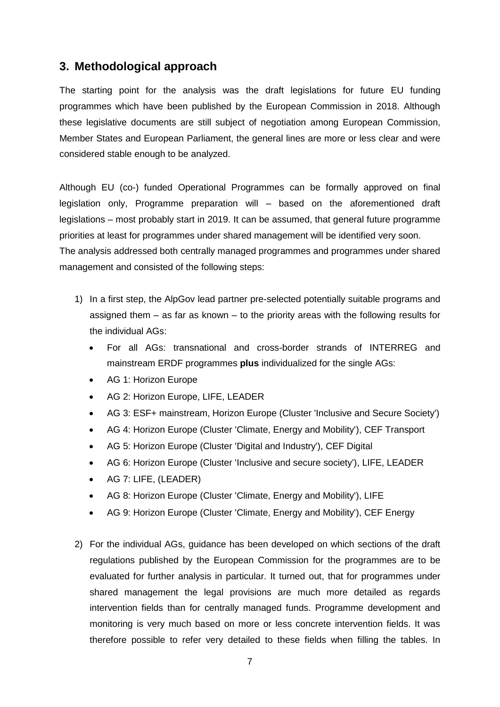## <span id="page-6-0"></span>**3. Methodological approach**

The starting point for the analysis was the draft legislations for future EU funding programmes which have been published by the European Commission in 2018. Although these legislative documents are still subject of negotiation among European Commission, Member States and European Parliament, the general lines are more or less clear and were considered stable enough to be analyzed.

Although EU (co-) funded Operational Programmes can be formally approved on final legislation only, Programme preparation will – based on the aforementioned draft legislations – most probably start in 2019. It can be assumed, that general future programme priorities at least for programmes under shared management will be identified very soon. The analysis addressed both centrally managed programmes and programmes under shared management and consisted of the following steps:

- 1) In a first step, the AlpGov lead partner pre-selected potentially suitable programs and assigned them – as far as known – to the priority areas with the following results for the individual AGs:
	- For all AGs: transnational and cross-border strands of INTERREG and mainstream ERDF programmes **plus** individualized for the single AGs:
	- AG 1: Horizon Europe
	- AG 2: Horizon Europe, LIFE, LEADER
	- AG 3: ESF+ mainstream, Horizon Europe (Cluster 'Inclusive and Secure Society')
	- AG 4: Horizon Europe (Cluster 'Climate, Energy and Mobility'), CEF Transport
	- AG 5: Horizon Europe (Cluster 'Digital and Industry'), CEF Digital
	- AG 6: Horizon Europe (Cluster 'Inclusive and secure society'), LIFE, LEADER
	- AG 7: LIFE, (LEADER)
	- AG 8: Horizon Europe (Cluster 'Climate, Energy and Mobility'), LIFE
	- AG 9: Horizon Europe (Cluster 'Climate, Energy and Mobility'), CEF Energy
- 2) For the individual AGs, guidance has been developed on which sections of the draft regulations published by the European Commission for the programmes are to be evaluated for further analysis in particular. It turned out, that for programmes under shared management the legal provisions are much more detailed as regards intervention fields than for centrally managed funds. Programme development and monitoring is very much based on more or less concrete intervention fields. It was therefore possible to refer very detailed to these fields when filling the tables. In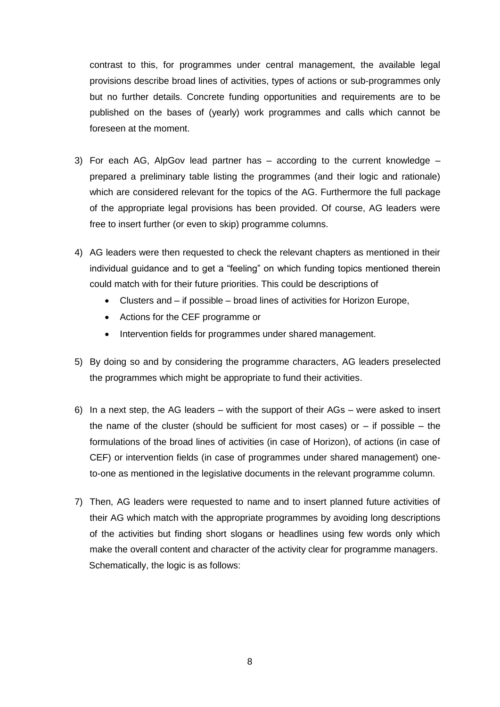contrast to this, for programmes under central management, the available legal provisions describe broad lines of activities, types of actions or sub-programmes only but no further details. Concrete funding opportunities and requirements are to be published on the bases of (yearly) work programmes and calls which cannot be foreseen at the moment.

- 3) For each AG, AlpGov lead partner has according to the current knowledge prepared a preliminary table listing the programmes (and their logic and rationale) which are considered relevant for the topics of the AG. Furthermore the full package of the appropriate legal provisions has been provided. Of course, AG leaders were free to insert further (or even to skip) programme columns.
- 4) AG leaders were then requested to check the relevant chapters as mentioned in their individual guidance and to get a "feeling" on which funding topics mentioned therein could match with for their future priorities. This could be descriptions of
	- Clusters and if possible broad lines of activities for Horizon Europe,
	- Actions for the CEF programme or
	- Intervention fields for programmes under shared management.
- 5) By doing so and by considering the programme characters, AG leaders preselected the programmes which might be appropriate to fund their activities.
- 6) In a next step, the AG leaders with the support of their AGs were asked to insert the name of the cluster (should be sufficient for most cases) or  $-$  if possible  $-$  the formulations of the broad lines of activities (in case of Horizon), of actions (in case of CEF) or intervention fields (in case of programmes under shared management) oneto-one as mentioned in the legislative documents in the relevant programme column.
- 7) Then, AG leaders were requested to name and to insert planned future activities of their AG which match with the appropriate programmes by avoiding long descriptions of the activities but finding short slogans or headlines using few words only which make the overall content and character of the activity clear for programme managers. Schematically, the logic is as follows: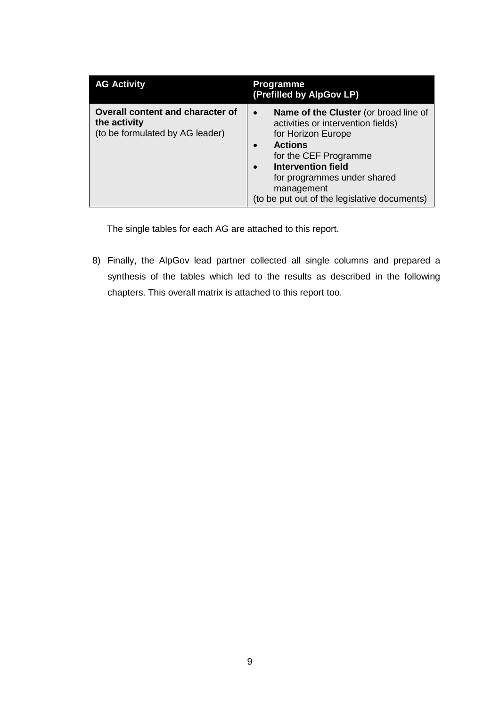| <b>AG Activity</b>                                                                         | <b>Programme</b><br>(Prefilled by AlpGov LP)                                                                                                                                                                                                                                        |  |
|--------------------------------------------------------------------------------------------|-------------------------------------------------------------------------------------------------------------------------------------------------------------------------------------------------------------------------------------------------------------------------------------|--|
| <b>Overall content and character of</b><br>the activity<br>(to be formulated by AG leader) | Name of the Cluster (or broad line of<br>$\bullet$<br>activities or intervention fields)<br>for Horizon Europe<br><b>Actions</b><br>for the CEF Programme<br><b>Intervention field</b><br>for programmes under shared<br>management<br>(to be put out of the legislative documents) |  |

The single tables for each AG are attached to this report.

8) Finally, the AlpGov lead partner collected all single columns and prepared a synthesis of the tables which led to the results as described in the following chapters. This overall matrix is attached to this report too.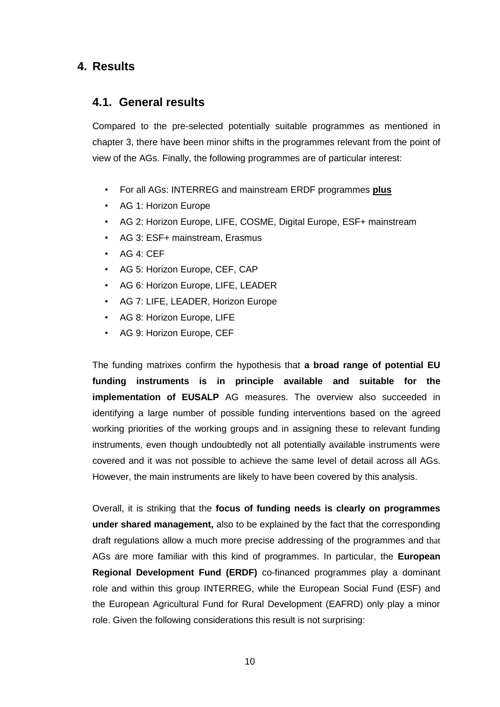# <span id="page-9-1"></span><span id="page-9-0"></span>**4. Results**

# **4.1. General results**

Compared to the pre-selected potentially suitable programmes as mentioned in chapter 3, there have been minor shifts in the programmes relevant from the point of view of the AGs. Finally, the following programmes are of particular interest:

- For all AGs: INTERREG and mainstream ERDF programmes **plus**
- AG 1: Horizon Europe
- AG 2: Horizon Europe, LIFE, COSME, Digital Europe, ESF+ mainstream
- AG 3: ESF+ mainstream, Erasmus
- AG 4: CEF
- AG 5: Horizon Europe, CEF, CAP
- AG 6: Horizon Europe, LIFE, LEADER
- AG 7: LIFE, LEADER, Horizon Europe
- AG 8: Horizon Europe, LIFE
- AG 9: Horizon Europe, CEF

The funding matrixes confirm the hypothesis that **a broad range of potential EU funding instruments is in principle available and suitable for the implementation of EUSALP** AG measures. The overview also succeeded in identifying a large number of possible funding interventions based on the agreed working priorities of the working groups and in assigning these to relevant funding instruments, even though undoubtedly not all potentially available instruments were covered and it was not possible to achieve the same level of detail across all AGs. However, the main instruments are likely to have been covered by this analysis.

Overall, it is striking that the **focus of funding needs is clearly on programmes under shared management,** also to be explained by the fact that the corresponding draft regulations allow a much more precise addressing of the programmes and that AGs are more familiar with this kind of programmes. In particular, the **European Regional Development Fund (ERDF)** co-financed programmes play a dominant role and within this group INTERREG, while the European Social Fund (ESF) and the European Agricultural Fund for Rural Development (EAFRD) only play a minor role. Given the following considerations this result is not surprising: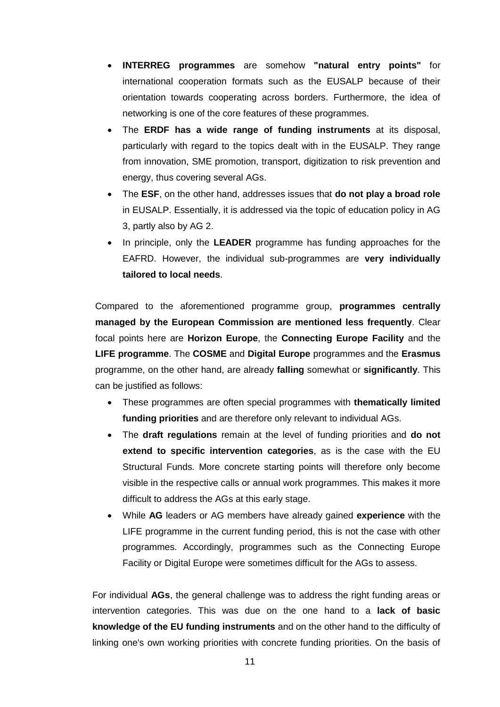- **INTERREG programmes** are somehow **"natural entry points"** for international cooperation formats such as the EUSALP because of their orientation towards cooperating across borders. Furthermore, the idea of networking is one of the core features of these programmes.
- The **ERDF has a wide range of funding instruments** at its disposal, particularly with regard to the topics dealt with in the EUSALP. They range from innovation, SME promotion, transport, digitization to risk prevention and energy, thus covering several AGs.
- The **ESF**, on the other hand, addresses issues that **do not play a broad role** in EUSALP. Essentially, it is addressed via the topic of education policy in AG 3, partly also by AG 2.
- In principle, only the LEADER programme has funding approaches for the EAFRD. However, the individual sub-programmes are **very individually tailored to local needs**.

Compared to the aforementioned programme group, **programmes centrally managed by the European Commission are mentioned less frequently**. Clear focal points here are **Horizon Europe**, the **Connecting Europe Facility** and the **LIFE programme**. The **COSME** and **Digital Europe** programmes and the **Erasmus** programme, on the other hand, are already **falling** somewhat or **significantly**. This can be justified as follows:

- These programmes are often special programmes with **thematically limited funding priorities** and are therefore only relevant to individual AGs.
- The **draft regulations** remain at the level of funding priorities and **do not extend to specific intervention categories**, as is the case with the EU Structural Funds. More concrete starting points will therefore only become visible in the respective calls or annual work programmes. This makes it more difficult to address the AGs at this early stage.
- While **AG** leaders or AG members have already gained **experience** with the LIFE programme in the current funding period, this is not the case with other programmes. Accordingly, programmes such as the Connecting Europe Facility or Digital Europe were sometimes difficult for the AGs to assess.

For individual **AGs**, the general challenge was to address the right funding areas or intervention categories. This was due on the one hand to a **lack of basic knowledge of the EU funding instruments** and on the other hand to the difficulty of linking one's own working priorities with concrete funding priorities. On the basis of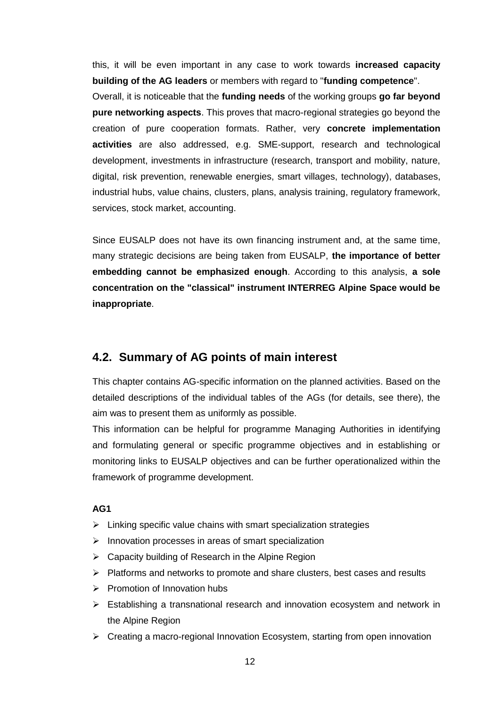this, it will be even important in any case to work towards **increased capacity building of the AG leaders** or members with regard to "**funding competence**".

Overall, it is noticeable that the **funding needs** of the working groups **go far beyond pure networking aspects**. This proves that macro-regional strategies go beyond the creation of pure cooperation formats. Rather, very **concrete implementation activities** are also addressed, e.g. SME-support, research and technological development, investments in infrastructure (research, transport and mobility, nature, digital, risk prevention, renewable energies, smart villages, technology), databases, industrial hubs, value chains, clusters, plans, analysis training, regulatory framework, services, stock market, accounting.

Since EUSALP does not have its own financing instrument and, at the same time, many strategic decisions are being taken from EUSALP, **the importance of better embedding cannot be emphasized enough**. According to this analysis, **a sole concentration on the "classical" instrument INTERREG Alpine Space would be inappropriate**.

# <span id="page-11-0"></span>**4.2. Summary of AG points of main interest**

This chapter contains AG-specific information on the planned activities. Based on the detailed descriptions of the individual tables of the AGs (for details, see there), the aim was to present them as uniformly as possible.

This information can be helpful for programme Managing Authorities in identifying and formulating general or specific programme objectives and in establishing or monitoring links to EUSALP objectives and can be further operationalized within the framework of programme development.

- $\triangleright$  Linking specific value chains with smart specialization strategies
- $\triangleright$  Innovation processes in areas of smart specialization
- $\triangleright$  Capacity building of Research in the Alpine Region
- $\triangleright$  Platforms and networks to promote and share clusters, best cases and results
- $\triangleright$  Promotion of Innovation hubs
- Establishing a transnational research and innovation ecosystem and network in the Alpine Region
- $\triangleright$  Creating a macro-regional Innovation Ecosystem, starting from open innovation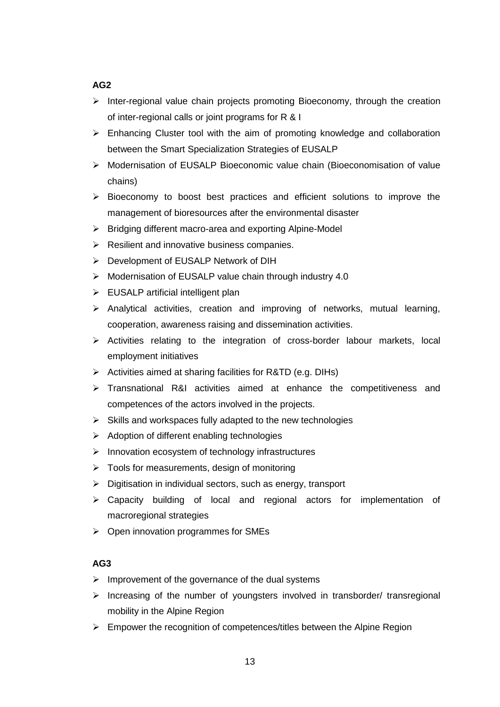- $\triangleright$  Inter-regional value chain projects promoting Bioeconomy, through the creation of inter-regional calls or joint programs for R & I
- $\triangleright$  Enhancing Cluster tool with the aim of promoting knowledge and collaboration between the Smart Specialization Strategies of EUSALP
- Modernisation of EUSALP Bioeconomic value chain (Bioeconomisation of value chains)
- $\triangleright$  Bioeconomy to boost best practices and efficient solutions to improve the management of bioresources after the environmental disaster
- $\triangleright$  Bridging different macro-area and exporting Alpine-Model
- $\triangleright$  Resilient and innovative business companies.
- Development of EUSALP Network of DIH
- Modernisation of EUSALP value chain through industry 4.0
- $\triangleright$  EUSALP artificial intelligent plan
- $\triangleright$  Analytical activities, creation and improving of networks, mutual learning, cooperation, awareness raising and dissemination activities.
- $\triangleright$  Activities relating to the integration of cross-border labour markets, local employment initiatives
- $\triangleright$  Activities aimed at sharing facilities for R&TD (e.g. DIHs)
- > Transnational R&I activities aimed at enhance the competitiveness and competences of the actors involved in the projects.
- $\triangleright$  Skills and workspaces fully adapted to the new technologies
- $\triangleright$  Adoption of different enabling technologies
- $\triangleright$  Innovation ecosystem of technology infrastructures
- $\triangleright$  Tools for measurements, design of monitoring
- $\triangleright$  Digitisation in individual sectors, such as energy, transport
- Capacity building of local and regional actors for implementation of macroregional strategies
- $\triangleright$  Open innovation programmes for SMEs

- $\triangleright$  Improvement of the governance of the dual systems
- $\triangleright$  Increasing of the number of youngsters involved in transborder/ transregional mobility in the Alpine Region
- $\triangleright$  Empower the recognition of competences/titles between the Alpine Region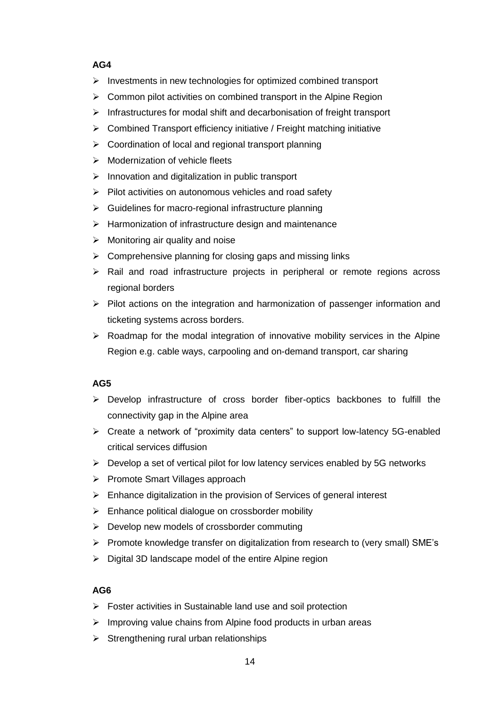- $\triangleright$  Investments in new technologies for optimized combined transport
- $\triangleright$  Common pilot activities on combined transport in the Alpine Region
- $\triangleright$  Infrastructures for modal shift and decarbonisation of freight transport
- $\triangleright$  Combined Transport efficiency initiative / Freight matching initiative
- $\triangleright$  Coordination of local and regional transport planning
- $\triangleright$  Modernization of vehicle fleets
- $\triangleright$  Innovation and digitalization in public transport
- $\triangleright$  Pilot activities on autonomous vehicles and road safety
- $\triangleright$  Guidelines for macro-regional infrastructure planning
- $\triangleright$  Harmonization of infrastructure design and maintenance
- $\triangleright$  Monitoring air quality and noise
- $\triangleright$  Comprehensive planning for closing gaps and missing links
- $\triangleright$  Rail and road infrastructure projects in peripheral or remote regions across regional borders
- $\triangleright$  Pilot actions on the integration and harmonization of passenger information and ticketing systems across borders.
- $\triangleright$  Roadmap for the modal integration of innovative mobility services in the Alpine Region e.g. cable ways, carpooling and on-demand transport, car sharing

## **AG5**

- $\triangleright$  Develop infrastructure of cross border fiber-optics backbones to fulfill the connectivity gap in the Alpine area
- Create a network of "proximity data centers" to support low-latency 5G-enabled critical services diffusion
- $\triangleright$  Develop a set of vertical pilot for low latency services enabled by 5G networks
- $\triangleright$  Promote Smart Villages approach
- $\triangleright$  Enhance digitalization in the provision of Services of general interest
- $\triangleright$  Enhance political dialogue on crossborder mobility
- $\triangleright$  Develop new models of crossborder commuting
- $\triangleright$  Promote knowledge transfer on digitalization from research to (very small) SME's
- $\triangleright$  Digital 3D landscape model of the entire Alpine region

- $\triangleright$  Foster activities in Sustainable land use and soil protection
- $\triangleright$  Improving value chains from Alpine food products in urban areas
- $\triangleright$  Strengthening rural urban relationships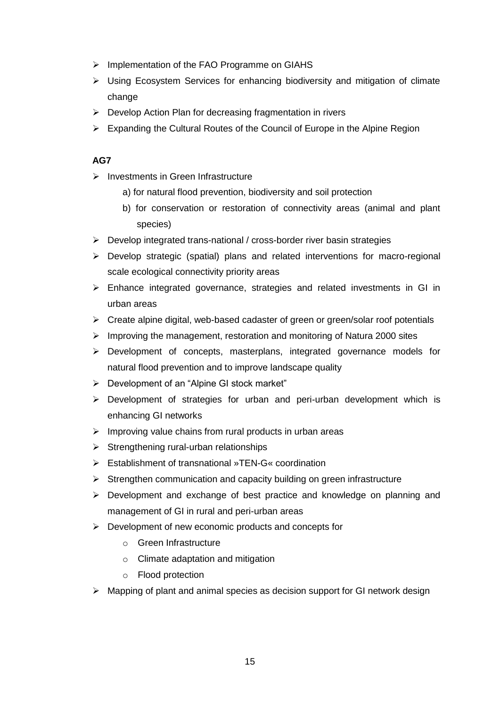- > Implementation of the FAO Programme on GIAHS
- $\triangleright$  Using Ecosystem Services for enhancing biodiversity and mitigation of climate change
- $\triangleright$  Develop Action Plan for decreasing fragmentation in rivers
- $\triangleright$  Expanding the Cultural Routes of the Council of Europe in the Alpine Region

- $\triangleright$  Investments in Green Infrastructure
	- a) for natural flood prevention, biodiversity and soil protection
	- b) for conservation or restoration of connectivity areas (animal and plant species)
- $\triangleright$  Develop integrated trans-national / cross-border river basin strategies
- Develop strategic (spatial) plans and related interventions for macro-regional scale ecological connectivity priority areas
- $\triangleright$  Enhance integrated governance, strategies and related investments in GI in urban areas
- $\triangleright$  Create alpine digital, web-based cadaster of green or green/solar roof potentials
- $\triangleright$  Improving the management, restoration and monitoring of Natura 2000 sites
- Development of concepts, masterplans, integrated governance models for natural flood prevention and to improve landscape quality
- $\triangleright$  Development of an "Alpine GI stock market"
- $\triangleright$  Development of strategies for urban and peri-urban development which is enhancing GI networks
- $\triangleright$  Improving value chains from rural products in urban areas
- $\triangleright$  Strengthening rural-urban relationships
- Establishment of transnational »TEN-G« coordination
- $\triangleright$  Strengthen communication and capacity building on green infrastructure
- $\triangleright$  Development and exchange of best practice and knowledge on planning and management of GI in rural and peri-urban areas
- $\triangleright$  Development of new economic products and concepts for
	- o Green Infrastructure
	- o Climate adaptation and mitigation
	- o Flood protection
- $\triangleright$  Mapping of plant and animal species as decision support for GI network design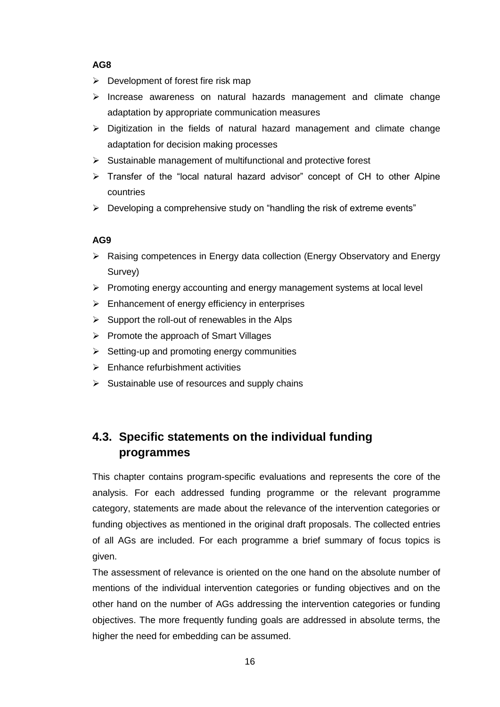- $\triangleright$  Development of forest fire risk map
- $\triangleright$  Increase awareness on natural hazards management and climate change adaptation by appropriate communication measures
- $\triangleright$  Digitization in the fields of natural hazard management and climate change adaptation for decision making processes
- $\triangleright$  Sustainable management of multifunctional and protective forest
- $\triangleright$  Transfer of the "local natural hazard advisor" concept of CH to other Alpine countries
- $\triangleright$  Developing a comprehensive study on "handling the risk of extreme events"

## **AG9**

- Raising competences in Energy data collection (Energy Observatory and Energy Survey)
- $\triangleright$  Promoting energy accounting and energy management systems at local level
- $\triangleright$  Enhancement of energy efficiency in enterprises
- $\triangleright$  Support the roll-out of renewables in the Alps
- $\triangleright$  Promote the approach of Smart Villages
- $\triangleright$  Setting-up and promoting energy communities
- $\triangleright$  Enhance refurbishment activities
- $\triangleright$  Sustainable use of resources and supply chains

# <span id="page-15-0"></span>**4.3. Specific statements on the individual funding programmes**

This chapter contains program-specific evaluations and represents the core of the analysis. For each addressed funding programme or the relevant programme category, statements are made about the relevance of the intervention categories or funding objectives as mentioned in the original draft proposals. The collected entries of all AGs are included. For each programme a brief summary of focus topics is given.

The assessment of relevance is oriented on the one hand on the absolute number of mentions of the individual intervention categories or funding objectives and on the other hand on the number of AGs addressing the intervention categories or funding objectives. The more frequently funding goals are addressed in absolute terms, the higher the need for embedding can be assumed.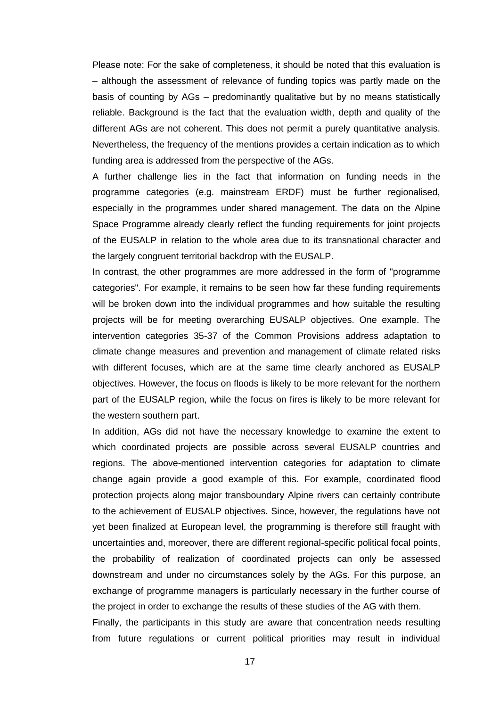Please note: For the sake of completeness, it should be noted that this evaluation is – although the assessment of relevance of funding topics was partly made on the basis of counting by AGs – predominantly qualitative but by no means statistically reliable. Background is the fact that the evaluation width, depth and quality of the different AGs are not coherent. This does not permit a purely quantitative analysis. Nevertheless, the frequency of the mentions provides a certain indication as to which funding area is addressed from the perspective of the AGs.

A further challenge lies in the fact that information on funding needs in the programme categories (e.g. mainstream ERDF) must be further regionalised, especially in the programmes under shared management. The data on the Alpine Space Programme already clearly reflect the funding requirements for joint projects of the EUSALP in relation to the whole area due to its transnational character and the largely congruent territorial backdrop with the EUSALP.

In contrast, the other programmes are more addressed in the form of "programme categories". For example, it remains to be seen how far these funding requirements will be broken down into the individual programmes and how suitable the resulting projects will be for meeting overarching EUSALP objectives. One example. The intervention categories 35-37 of the Common Provisions address adaptation to climate change measures and prevention and management of climate related risks with different focuses, which are at the same time clearly anchored as EUSALP objectives. However, the focus on floods is likely to be more relevant for the northern part of the EUSALP region, while the focus on fires is likely to be more relevant for the western southern part.

In addition, AGs did not have the necessary knowledge to examine the extent to which coordinated projects are possible across several EUSALP countries and regions. The above-mentioned intervention categories for adaptation to climate change again provide a good example of this. For example, coordinated flood protection projects along major transboundary Alpine rivers can certainly contribute to the achievement of EUSALP objectives. Since, however, the regulations have not yet been finalized at European level, the programming is therefore still fraught with uncertainties and, moreover, there are different regional-specific political focal points, the probability of realization of coordinated projects can only be assessed downstream and under no circumstances solely by the AGs. For this purpose, an exchange of programme managers is particularly necessary in the further course of the project in order to exchange the results of these studies of the AG with them.

Finally, the participants in this study are aware that concentration needs resulting from future regulations or current political priorities may result in individual

17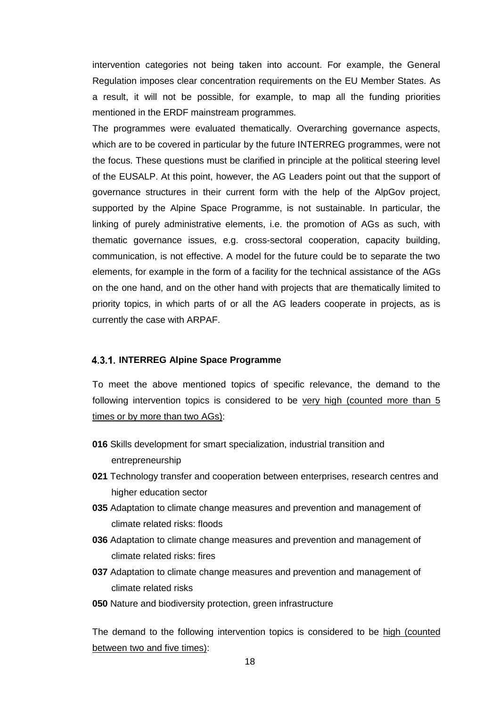intervention categories not being taken into account. For example, the General Regulation imposes clear concentration requirements on the EU Member States. As a result, it will not be possible, for example, to map all the funding priorities mentioned in the ERDF mainstream programmes.

The programmes were evaluated thematically. Overarching governance aspects, which are to be covered in particular by the future INTERREG programmes, were not the focus. These questions must be clarified in principle at the political steering level of the EUSALP. At this point, however, the AG Leaders point out that the support of governance structures in their current form with the help of the AlpGov project, supported by the Alpine Space Programme, is not sustainable. In particular, the linking of purely administrative elements, i.e. the promotion of AGs as such, with thematic governance issues, e.g. cross-sectoral cooperation, capacity building, communication, is not effective. A model for the future could be to separate the two elements, for example in the form of a facility for the technical assistance of the AGs on the one hand, and on the other hand with projects that are thematically limited to priority topics, in which parts of or all the AG leaders cooperate in projects, as is currently the case with ARPAF.

#### <span id="page-17-0"></span>**4.3.1. INTERREG Alpine Space Programme**

To meet the above mentioned topics of specific relevance, the demand to the following intervention topics is considered to be very high (counted more than 5 times or by more than two AGs):

- **016** Skills development for smart specialization, industrial transition and entrepreneurship
- **021** Technology transfer and cooperation between enterprises, research centres and higher education sector
- **035** Adaptation to climate change measures and prevention and management of climate related risks: floods
- **036** Adaptation to climate change measures and prevention and management of climate related risks: fires
- **037** Adaptation to climate change measures and prevention and management of climate related risks
- **050** Nature and biodiversity protection, green infrastructure

The demand to the following intervention topics is considered to be high (counted between two and five times):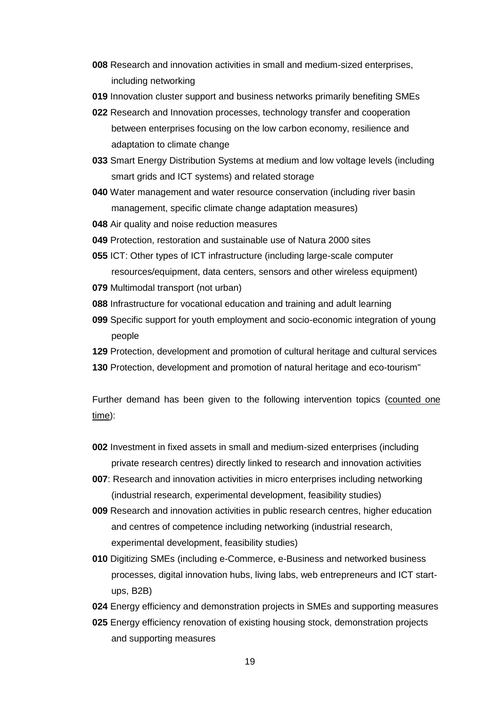- **008** Research and innovation activities in small and medium-sized enterprises, including networking
- **019** Innovation cluster support and business networks primarily benefiting SMEs
- **022** Research and Innovation processes, technology transfer and cooperation between enterprises focusing on the low carbon economy, resilience and adaptation to climate change
- **033** Smart Energy Distribution Systems at medium and low voltage levels (including smart grids and ICT systems) and related storage
- **040** Water management and water resource conservation (including river basin management, specific climate change adaptation measures)
- **048** Air quality and noise reduction measures
- **049** Protection, restoration and sustainable use of Natura 2000 sites
- **055** ICT: Other types of ICT infrastructure (including large-scale computer resources/equipment, data centers, sensors and other wireless equipment)
- **079** Multimodal transport (not urban)
- **088** Infrastructure for vocational education and training and adult learning
- **099** Specific support for youth employment and socio-economic integration of young people
- **129** Protection, development and promotion of cultural heritage and cultural services
- **130** Protection, development and promotion of natural heritage and eco-tourism"

Further demand has been given to the following intervention topics (counted one time):

- **002** Investment in fixed assets in small and medium-sized enterprises (including private research centres) directly linked to research and innovation activities
- **007**: Research and innovation activities in micro enterprises including networking (industrial research, experimental development, feasibility studies)
- **009** Research and innovation activities in public research centres, higher education and centres of competence including networking (industrial research, experimental development, feasibility studies)
- **010** Digitizing SMEs (including e-Commerce, e-Business and networked business processes, digital innovation hubs, living labs, web entrepreneurs and ICT startups, B2B)
- **024** Energy efficiency and demonstration projects in SMEs and supporting measures
- **025** Energy efficiency renovation of existing housing stock, demonstration projects and supporting measures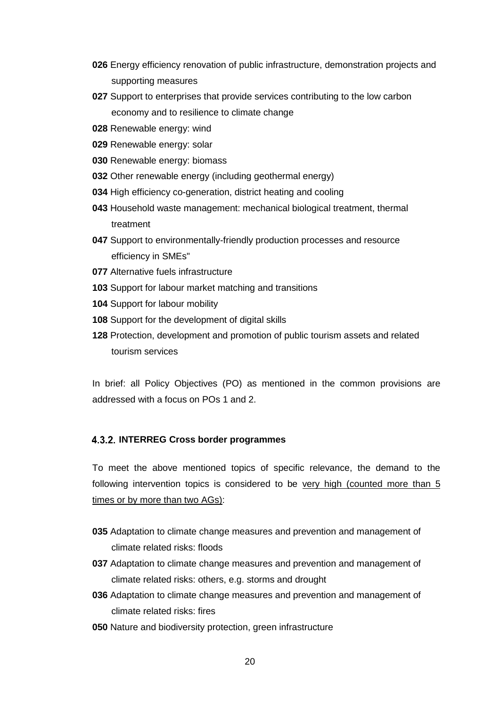- **026** Energy efficiency renovation of public infrastructure, demonstration projects and supporting measures
- **027** Support to enterprises that provide services contributing to the low carbon economy and to resilience to climate change
- **028** Renewable energy: wind
- **029** Renewable energy: solar
- **030** Renewable energy: biomass
- **032** Other renewable energy (including geothermal energy)
- **034** High efficiency co-generation, district heating and cooling
- **043** Household waste management: mechanical biological treatment, thermal treatment
- **047** Support to environmentally-friendly production processes and resource efficiency in SMEs"
- **077** Alternative fuels infrastructure
- **103** Support for labour market matching and transitions
- **104** Support for labour mobility
- **108** Support for the development of digital skills
- **128** Protection, development and promotion of public tourism assets and related tourism services

In brief: all Policy Objectives (PO) as mentioned in the common provisions are addressed with a focus on POs 1 and 2.

#### <span id="page-19-0"></span>**INTERREG Cross border programmes**

To meet the above mentioned topics of specific relevance, the demand to the following intervention topics is considered to be very high (counted more than 5 times or by more than two AGs):

- **035** Adaptation to climate change measures and prevention and management of climate related risks: floods
- **037** Adaptation to climate change measures and prevention and management of climate related risks: others, e.g. storms and drought
- **036** Adaptation to climate change measures and prevention and management of climate related risks: fires
- **050** Nature and biodiversity protection, green infrastructure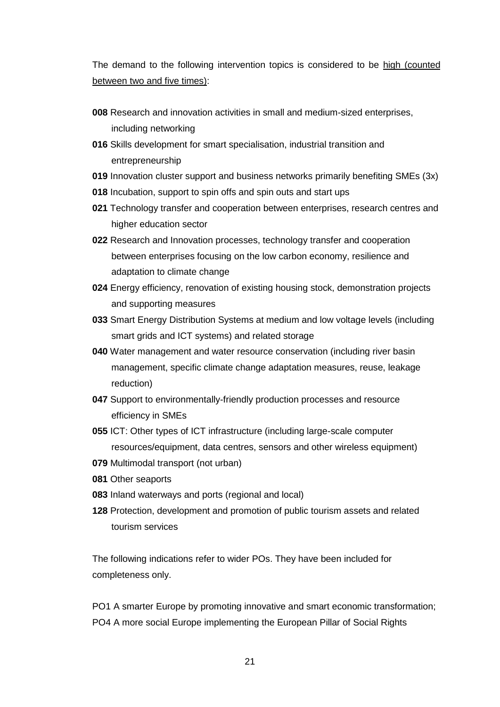The demand to the following intervention topics is considered to be high (counted between two and five times):

- **008** Research and innovation activities in small and medium-sized enterprises, including networking
- **016** Skills development for smart specialisation, industrial transition and entrepreneurship
- **019** Innovation cluster support and business networks primarily benefiting SMEs (3x)
- **018** Incubation, support to spin offs and spin outs and start ups
- **021** Technology transfer and cooperation between enterprises, research centres and higher education sector
- **022** Research and Innovation processes, technology transfer and cooperation between enterprises focusing on the low carbon economy, resilience and adaptation to climate change
- **024** Energy efficiency, renovation of existing housing stock, demonstration projects and supporting measures
- **033** Smart Energy Distribution Systems at medium and low voltage levels (including smart grids and ICT systems) and related storage
- **040** Water management and water resource conservation (including river basin management, specific climate change adaptation measures, reuse, leakage reduction)
- **047** Support to environmentally-friendly production processes and resource efficiency in SMEs
- **055** ICT: Other types of ICT infrastructure (including large-scale computer resources/equipment, data centres, sensors and other wireless equipment)
- **079** Multimodal transport (not urban)
- **081** Other seaports
- **083** Inland waterways and ports (regional and local)
- **128** Protection, development and promotion of public tourism assets and related tourism services

The following indications refer to wider POs. They have been included for completeness only.

PO1 A smarter Europe by promoting innovative and smart economic transformation; PO4 A more social Europe implementing the European Pillar of Social Rights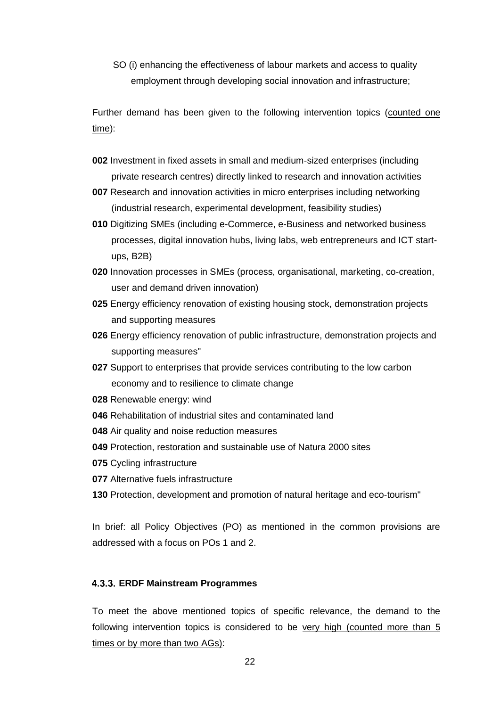SO (i) enhancing the effectiveness of labour markets and access to quality employment through developing social innovation and infrastructure;

Further demand has been given to the following intervention topics (counted one time):

- **002** Investment in fixed assets in small and medium-sized enterprises (including private research centres) directly linked to research and innovation activities
- **007** Research and innovation activities in micro enterprises including networking (industrial research, experimental development, feasibility studies)
- **010** Digitizing SMEs (including e-Commerce, e-Business and networked business processes, digital innovation hubs, living labs, web entrepreneurs and ICT startups, B2B)
- **020** Innovation processes in SMEs (process, organisational, marketing, co-creation, user and demand driven innovation)
- **025** Energy efficiency renovation of existing housing stock, demonstration projects and supporting measures
- **026** Energy efficiency renovation of public infrastructure, demonstration projects and supporting measures"
- **027** Support to enterprises that provide services contributing to the low carbon economy and to resilience to climate change
- **028** Renewable energy: wind
- **046** Rehabilitation of industrial sites and contaminated land
- **048** Air quality and noise reduction measures
- **049** Protection, restoration and sustainable use of Natura 2000 sites
- **075** Cycling infrastructure
- **077** Alternative fuels infrastructure
- **130** Protection, development and promotion of natural heritage and eco-tourism"

In brief: all Policy Objectives (PO) as mentioned in the common provisions are addressed with a focus on POs 1 and 2.

#### <span id="page-21-0"></span>**ERDF Mainstream Programmes**

To meet the above mentioned topics of specific relevance, the demand to the following intervention topics is considered to be very high (counted more than 5 times or by more than two AGs):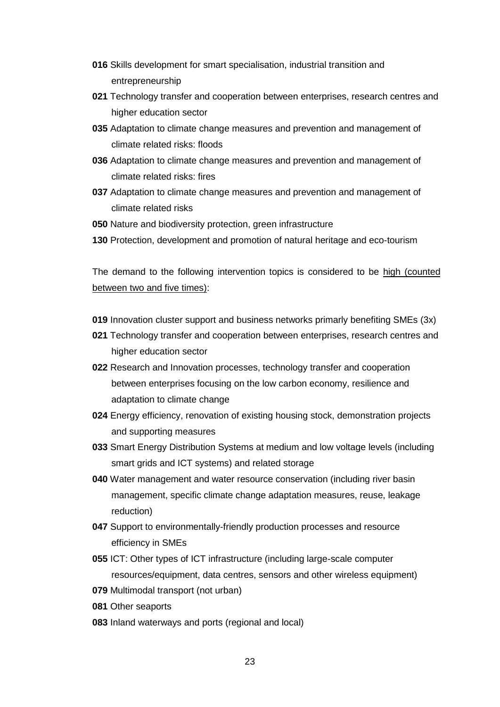- **016** Skills development for smart specialisation, industrial transition and entrepreneurship
- **021** Technology transfer and cooperation between enterprises, research centres and higher education sector
- **035** Adaptation to climate change measures and prevention and management of climate related risks: floods
- **036** Adaptation to climate change measures and prevention and management of climate related risks: fires
- **037** Adaptation to climate change measures and prevention and management of climate related risks
- **050** Nature and biodiversity protection, green infrastructure
- **130** Protection, development and promotion of natural heritage and eco-tourism

The demand to the following intervention topics is considered to be high (counted between two and five times):

- **019** Innovation cluster support and business networks primarly benefiting SMEs (3x)
- **021** Technology transfer and cooperation between enterprises, research centres and higher education sector
- **022** Research and Innovation processes, technology transfer and cooperation between enterprises focusing on the low carbon economy, resilience and adaptation to climate change
- **024** Energy efficiency, renovation of existing housing stock, demonstration projects and supporting measures
- **033** Smart Energy Distribution Systems at medium and low voltage levels (including smart grids and ICT systems) and related storage
- **040** Water management and water resource conservation (including river basin management, specific climate change adaptation measures, reuse, leakage reduction)
- **047** Support to environmentally-friendly production processes and resource efficiency in SMEs
- **055** ICT: Other types of ICT infrastructure (including large-scale computer resources/equipment, data centres, sensors and other wireless equipment)
- **079** Multimodal transport (not urban)
- **081** Other seaports
- **083** Inland waterways and ports (regional and local)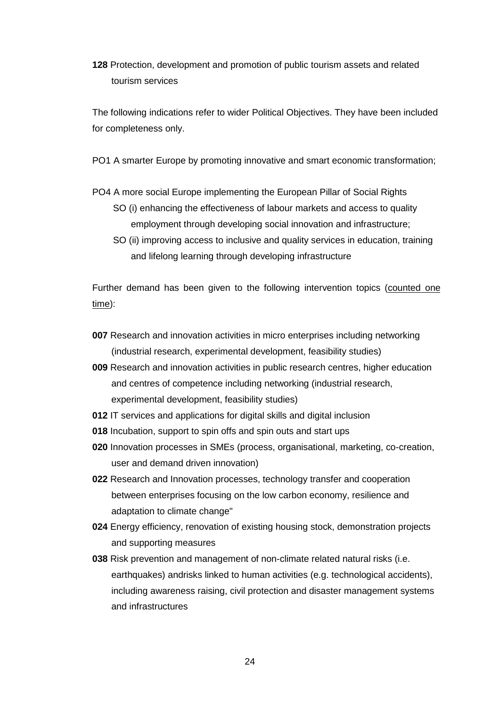**128** Protection, development and promotion of public tourism assets and related tourism services

The following indications refer to wider Political Objectives. They have been included for completeness only.

PO1 A smarter Europe by promoting innovative and smart economic transformation;

PO4 A more social Europe implementing the European Pillar of Social Rights

- SO (i) enhancing the effectiveness of labour markets and access to quality employment through developing social innovation and infrastructure;
- SO (ii) improving access to inclusive and quality services in education, training and lifelong learning through developing infrastructure

Further demand has been given to the following intervention topics (counted one time):

- **007** Research and innovation activities in micro enterprises including networking (industrial research, experimental development, feasibility studies)
- **009** Research and innovation activities in public research centres, higher education and centres of competence including networking (industrial research, experimental development, feasibility studies)
- **012** IT services and applications for digital skills and digital inclusion
- **018** Incubation, support to spin offs and spin outs and start ups
- **020** Innovation processes in SMEs (process, organisational, marketing, co-creation, user and demand driven innovation)
- **022** Research and Innovation processes, technology transfer and cooperation between enterprises focusing on the low carbon economy, resilience and adaptation to climate change"
- **024** Energy efficiency, renovation of existing housing stock, demonstration projects and supporting measures
- **038** Risk prevention and management of non-climate related natural risks (i.e. earthquakes) andrisks linked to human activities (e.g. technological accidents), including awareness raising, civil protection and disaster management systems and infrastructures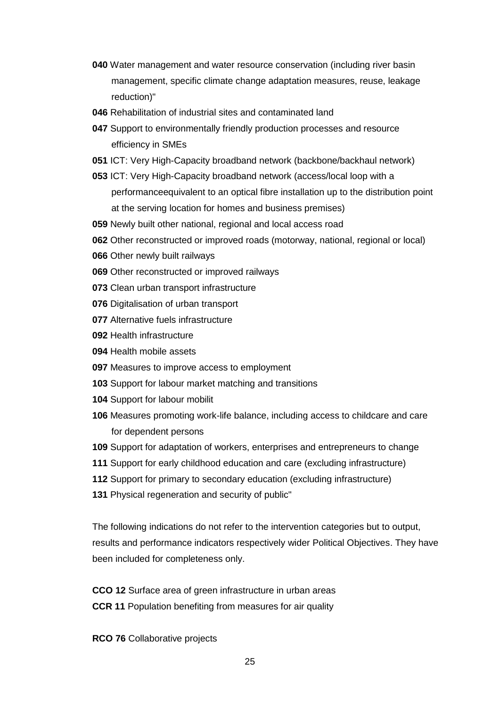- Water management and water resource conservation (including river basin management, specific climate change adaptation measures, reuse, leakage reduction)"
- Rehabilitation of industrial sites and contaminated land
- Support to environmentally friendly production processes and resource efficiency in SMEs
- ICT: Very High-Capacity broadband network (backbone/backhaul network)
- ICT: Very High-Capacity broadband network (access/local loop with a performanceequivalent to an optical fibre installation up to the distribution point at the serving location for homes and business premises)
- Newly built other national, regional and local access road
- Other reconstructed or improved roads (motorway, national, regional or local)
- Other newly built railways
- Other reconstructed or improved railways
- Clean urban transport infrastructure
- Digitalisation of urban transport
- Alternative fuels infrastructure
- Health infrastructure
- Health mobile assets
- Measures to improve access to employment
- Support for labour market matching and transitions
- Support for labour mobilit
- Measures promoting work-life balance, including access to childcare and care for dependent persons
- Support for adaptation of workers, enterprises and entrepreneurs to change
- Support for early childhood education and care (excluding infrastructure)
- Support for primary to secondary education (excluding infrastructure)
- 131 Physical regeneration and security of public"

The following indications do not refer to the intervention categories but to output, results and performance indicators respectively wider Political Objectives. They have been included for completeness only.

**CCO 12** Surface area of green infrastructure in urban areas **CCR 11** Population benefiting from measures for air quality

**RCO 76** Collaborative projects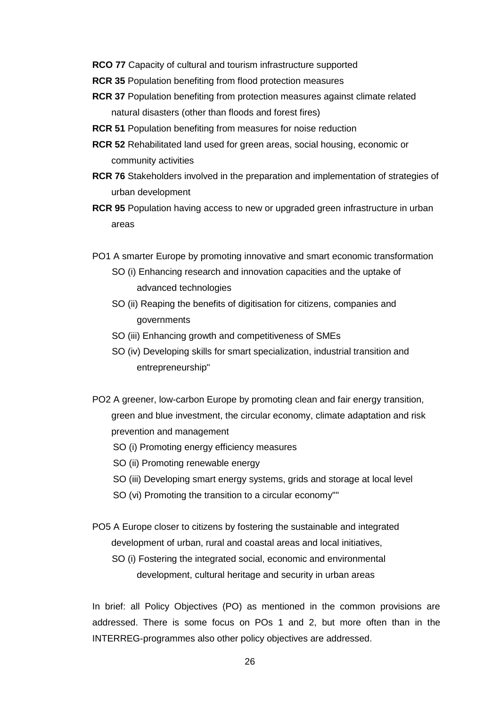- **RCO 77** Capacity of cultural and tourism infrastructure supported
- **RCR 35** Population benefiting from flood protection measures
- **RCR 37** Population benefiting from protection measures against climate related natural disasters (other than floods and forest fires)
- **RCR 51** Population benefiting from measures for noise reduction
- **RCR 52** Rehabilitated land used for green areas, social housing, economic or community activities
- **RCR 76** Stakeholders involved in the preparation and implementation of strategies of urban development
- **RCR 95** Population having access to new or upgraded green infrastructure in urban areas
- PO1 A smarter Europe by promoting innovative and smart economic transformation
	- SO (i) Enhancing research and innovation capacities and the uptake of advanced technologies
	- SO (ii) Reaping the benefits of digitisation for citizens, companies and governments
	- SO (iii) Enhancing growth and competitiveness of SMEs
	- SO (iv) Developing skills for smart specialization, industrial transition and entrepreneurship"
- PO2 A greener, low-carbon Europe by promoting clean and fair energy transition, green and blue investment, the circular economy, climate adaptation and risk prevention and management
	- SO (i) Promoting energy efficiency measures
	- SO (ii) Promoting renewable energy
	- SO (iii) Developing smart energy systems, grids and storage at local level
	- SO (vi) Promoting the transition to a circular economy""
- PO5 A Europe closer to citizens by fostering the sustainable and integrated development of urban, rural and coastal areas and local initiatives,
	- SO (i) Fostering the integrated social, economic and environmental development, cultural heritage and security in urban areas

In brief: all Policy Objectives (PO) as mentioned in the common provisions are addressed. There is some focus on POs 1 and 2, but more often than in the INTERREG-programmes also other policy objectives are addressed.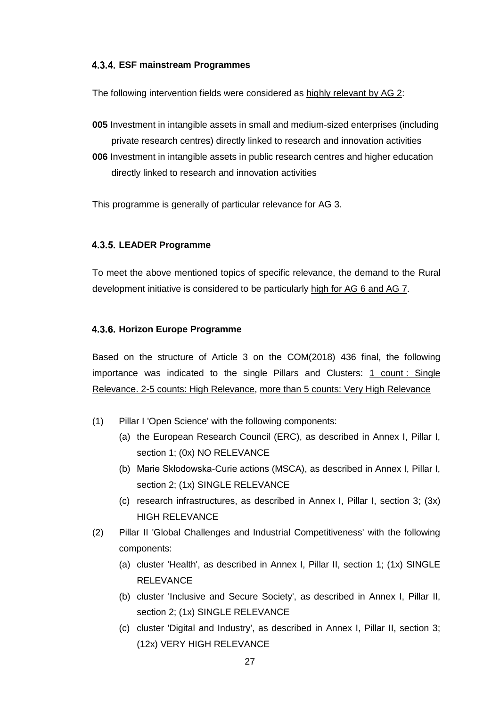#### <span id="page-26-0"></span>**ESF mainstream Programmes**

The following intervention fields were considered as highly relevant by AG 2:

- **005** Investment in intangible assets in small and medium-sized enterprises (including private research centres) directly linked to research and innovation activities **006** Investment in intangible assets in public research centres and higher education
- directly linked to research and innovation activities

This programme is generally of particular relevance for AG 3.

#### <span id="page-26-1"></span>**LEADER Programme**

To meet the above mentioned topics of specific relevance, the demand to the Rural development initiative is considered to be particularly high for AG 6 and AG 7.

#### <span id="page-26-2"></span>**Horizon Europe Programme**

Based on the structure of Article 3 on the COM(2018) 436 final, the following importance was indicated to the single Pillars and Clusters: 1 count : Single Relevance. 2-5 counts: High Relevance, more than 5 counts: Very High Relevance

- (1) Pillar I 'Open Science' with the following components:
	- (a) the European Research Council (ERC), as described in Annex I, Pillar I, section 1; (0x) NO RELEVANCE
	- (b) Marie Skłodowska-Curie actions (MSCA), as described in Annex I, Pillar I, section 2; (1x) SINGLE RELEVANCE
	- (c) research infrastructures, as described in Annex I, Pillar I, section 3; (3x) HIGH RELEVANCE
- (2) Pillar II 'Global Challenges and Industrial Competitiveness' with the following components:
	- (a) cluster 'Health', as described in Annex I, Pillar II, section 1; (1x) SINGLE RELEVANCE
	- (b) cluster 'Inclusive and Secure Society', as described in Annex I, Pillar II, section 2; (1x) SINGLE RELEVANCE
	- (c) cluster 'Digital and Industry', as described in Annex I, Pillar II, section 3; (12x) VERY HIGH RELEVANCE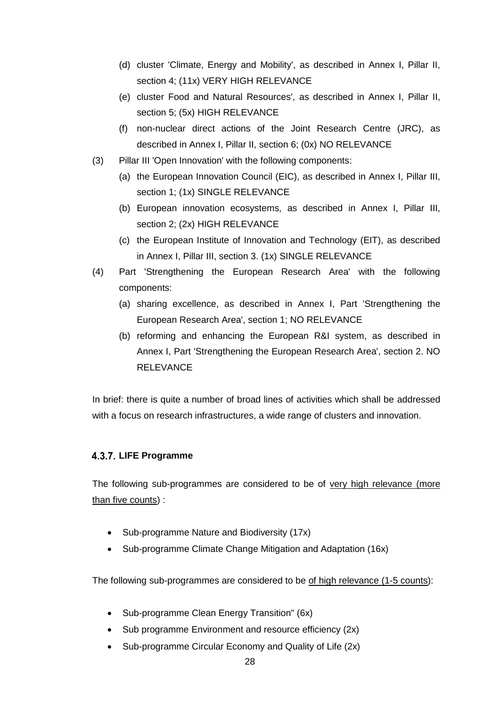- (d) cluster 'Climate, Energy and Mobility', as described in Annex I, Pillar II, section 4; (11x) VERY HIGH RELEVANCE
- (e) cluster Food and Natural Resources', as described in Annex I, Pillar II, section 5; (5x) HIGH RELEVANCE
- (f) non-nuclear direct actions of the Joint Research Centre (JRC), as described in Annex I, Pillar II, section 6; (0x) NO RELEVANCE
- (3) Pillar III 'Open Innovation' with the following components:
	- (a) the European Innovation Council (EIC), as described in Annex I, Pillar III, section 1; (1x) SINGLE RELEVANCE
	- (b) European innovation ecosystems, as described in Annex I, Pillar III, section 2; (2x) HIGH RELEVANCE
	- (c) the European Institute of Innovation and Technology (EIT), as described in Annex I, Pillar III, section 3. (1x) SINGLE RELEVANCE
- (4) Part 'Strengthening the European Research Area' with the following components:
	- (a) sharing excellence, as described in Annex I, Part 'Strengthening the European Research Area', section 1; NO RELEVANCE
	- (b) reforming and enhancing the European R&I system, as described in Annex I, Part 'Strengthening the European Research Area', section 2. NO **RELEVANCE**

In brief: there is quite a number of broad lines of activities which shall be addressed with a focus on research infrastructures, a wide range of clusters and innovation.

## <span id="page-27-0"></span>**4.3.7. LIFE Programme**

The following sub-programmes are considered to be of very high relevance (more than five counts) :

- Sub-programme Nature and Biodiversity (17x)
- Sub-programme Climate Change Mitigation and Adaptation (16x)

The following sub-programmes are considered to be of high relevance (1-5 counts):

- Sub-programme Clean Energy Transition" (6x)
- Sub programme Environment and resource efficiency (2x)
- Sub-programme Circular Economy and Quality of Life (2x)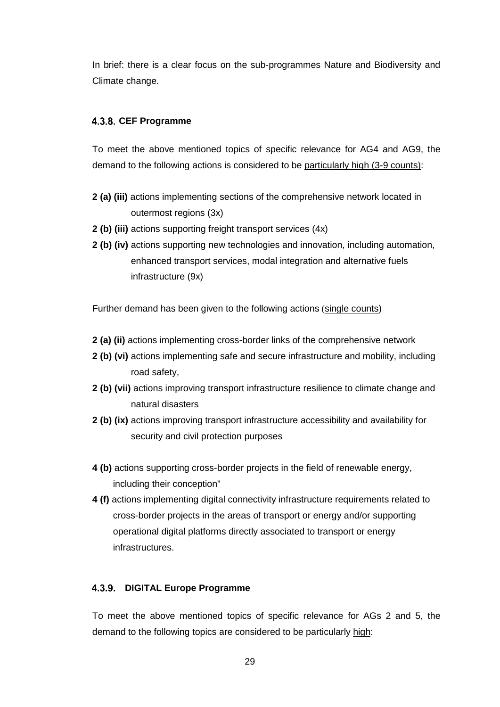In brief: there is a clear focus on the sub-programmes Nature and Biodiversity and Climate change.

#### <span id="page-28-0"></span>**CEF Programme**

To meet the above mentioned topics of specific relevance for AG4 and AG9, the demand to the following actions is considered to be particularly high (3-9 counts):

- **2 (a) (iii)** actions implementing sections of the comprehensive network located in outermost regions (3x)
- **2 (b) (iii)** actions supporting freight transport services (4x)
- **2 (b) (iv)** actions supporting new technologies and innovation, including automation, enhanced transport services, modal integration and alternative fuels infrastructure (9x)

Further demand has been given to the following actions (single counts)

- **2 (a) (ii)** actions implementing cross-border links of the comprehensive network
- **2 (b) (vi)** actions implementing safe and secure infrastructure and mobility, including road safety,
- **2 (b) (vii)** actions improving transport infrastructure resilience to climate change and natural disasters
- **2 (b) (ix)** actions improving transport infrastructure accessibility and availability for security and civil protection purposes
- **4 (b)** actions supporting cross-border projects in the field of renewable energy, including their conception"
- **4 (f)** actions implementing digital connectivity infrastructure requirements related to cross-border projects in the areas of transport or energy and/or supporting operational digital platforms directly associated to transport or energy infrastructures.

#### <span id="page-28-1"></span>**DIGITAL Europe Programme**

To meet the above mentioned topics of specific relevance for AGs 2 and 5, the demand to the following topics are considered to be particularly high: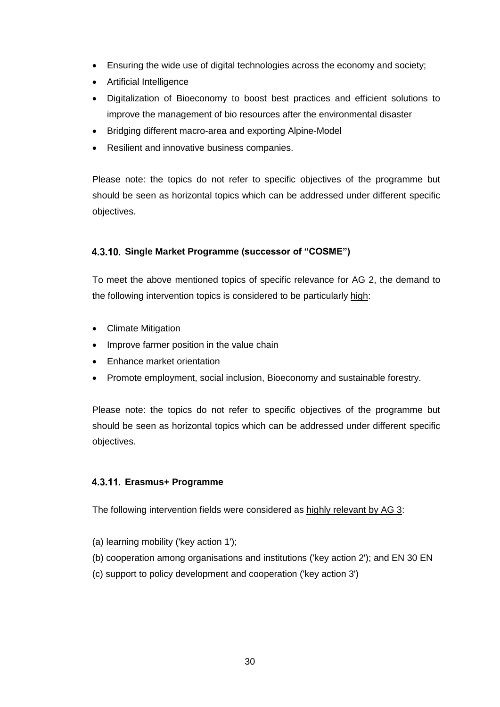- Ensuring the wide use of digital technologies across the economy and society;
- Artificial Intelligence
- Digitalization of Bioeconomy to boost best practices and efficient solutions to improve the management of bio resources after the environmental disaster
- Bridging different macro-area and exporting Alpine-Model
- Resilient and innovative business companies.

Please note: the topics do not refer to specific objectives of the programme but should be seen as horizontal topics which can be addressed under different specific objectives.

#### <span id="page-29-0"></span>**Single Market Programme (successor of "COSME")**

To meet the above mentioned topics of specific relevance for AG 2, the demand to the following intervention topics is considered to be particularly high:

- Climate Mitigation
- Improve farmer position in the value chain
- Enhance market orientation
- Promote employment, social inclusion, Bioeconomy and sustainable forestry.

Please note: the topics do not refer to specific objectives of the programme but should be seen as horizontal topics which can be addressed under different specific objectives.

#### <span id="page-29-1"></span>**Erasmus+ Programme**

The following intervention fields were considered as highly relevant by AG 3:

- (a) learning mobility ('key action 1');
- (b) cooperation among organisations and institutions ('key action 2'); and EN 30 EN
- (c) support to policy development and cooperation ('key action 3')